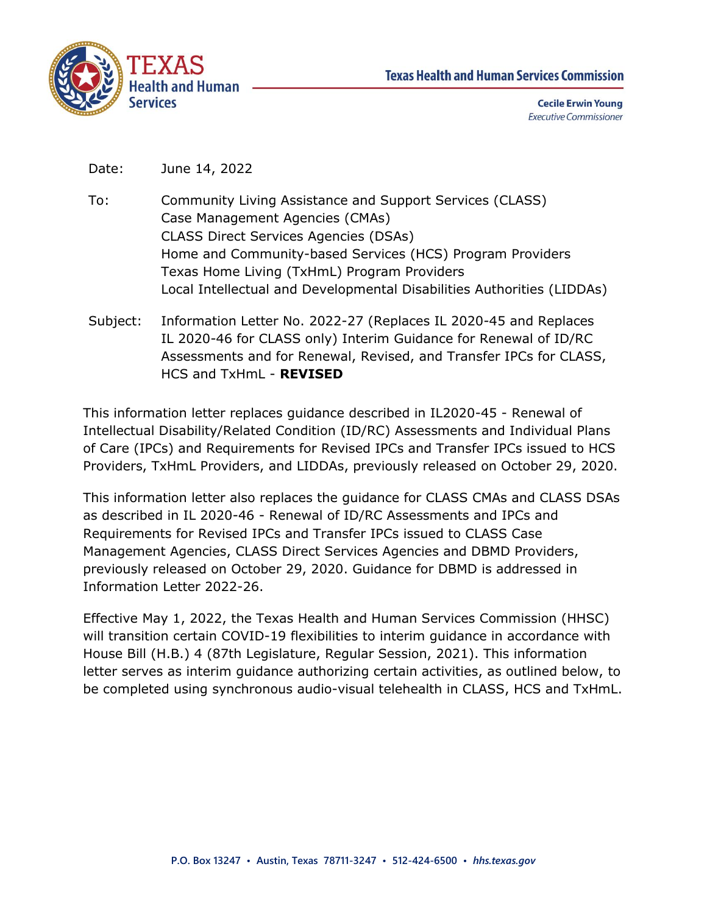



**Cecile Erwin Young Executive Commissioner** 

Date: June 14, 2022

- To: Community Living Assistance and Support Services (CLASS) Case Management Agencies (CMAs) CLASS Direct Services Agencies (DSAs) Home and Community-based Services (HCS) Program Providers Texas Home Living (TxHmL) Program Providers Local Intellectual and Developmental Disabilities Authorities (LIDDAs)
- Subject: Information Letter No. 2022-27 (Replaces IL 2020-45 and Replaces IL 2020-46 for CLASS only) Interim Guidance for Renewal of ID/RC Assessments and for Renewal, Revised, and Transfer IPCs for CLASS, HCS and TxHmL - **REVISED**

This information letter replaces guidance described in IL2020-45 - Renewal of Intellectual Disability/Related Condition (ID/RC) Assessments and Individual Plans of Care (IPCs) and Requirements for Revised IPCs and Transfer IPCs issued to HCS Providers, TxHmL Providers, and LIDDAs, previously released on October 29, 2020.

This information letter also replaces the guidance for CLASS CMAs and CLASS DSAs as described in IL 2020-46 - Renewal of ID/RC Assessments and IPCs and Requirements for Revised IPCs and Transfer IPCs issued to CLASS Case Management Agencies, CLASS Direct Services Agencies and DBMD Providers, previously released on October 29, 2020. Guidance for DBMD is addressed in Information Letter 2022-26.

Effective May 1, 2022, the Texas Health and Human Services Commission (HHSC) will transition certain COVID-19 flexibilities to interim guidance in accordance with House Bill (H.B.) 4 (87th Legislature, Regular Session, 2021). This information letter serves as interim guidance authorizing certain activities, as outlined below, to be completed using synchronous audio-visual telehealth in CLASS, HCS and TxHmL.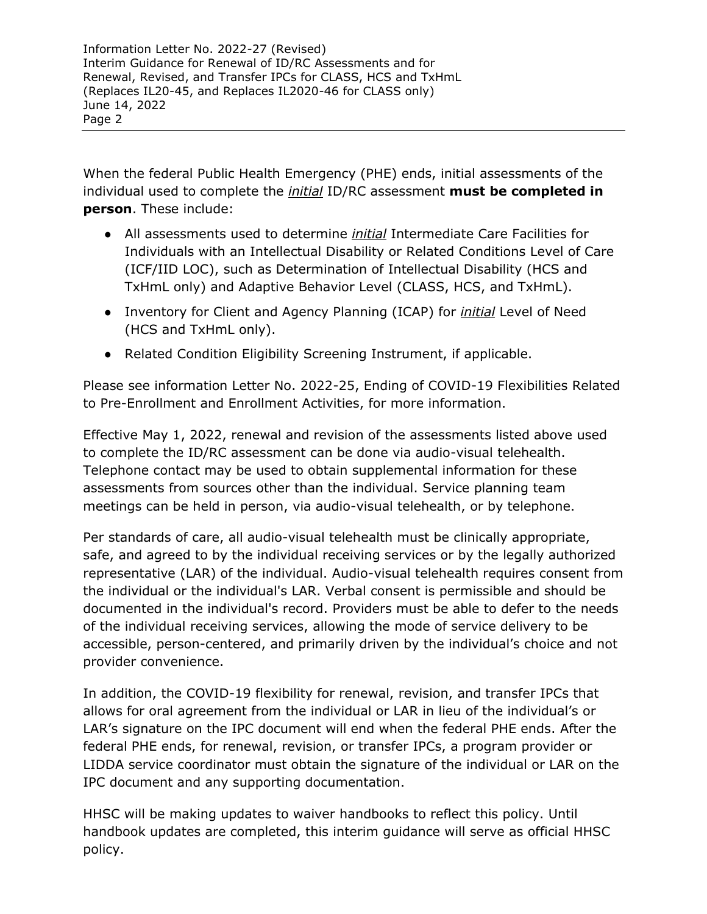Information Letter No. 2022-27 (Revised) Interim Guidance for Renewal of ID/RC Assessments and for Renewal, Revised, and Transfer IPCs for CLASS, HCS and TxHmL (Replaces IL20-45, and Replaces IL2020-46 for CLASS only) June 14, 2022 Page 2

When the federal Public Health Emergency (PHE) ends, initial assessments of the individual used to complete the *initial* ID/RC assessment **must be completed in person**. These include:

- All assessments used to determine *initial* Intermediate Care Facilities for Individuals with an Intellectual Disability or Related Conditions Level of Care (ICF/IID LOC), such as Determination of Intellectual Disability (HCS and TxHmL only) and Adaptive Behavior Level (CLASS, HCS, and TxHmL).
- Inventory for Client and Agency Planning (ICAP) for *initial* Level of Need (HCS and TxHmL only).
- Related Condition Eligibility Screening Instrument, if applicable.

Please see information Letter No. 2022-25, Ending of COVID-19 Flexibilities Related to Pre-Enrollment and Enrollment Activities, for more information.

Effective May 1, 2022, renewal and revision of the assessments listed above used to complete the ID/RC assessment can be done via audio-visual telehealth. Telephone contact may be used to obtain supplemental information for these assessments from sources other than the individual. Service planning team meetings can be held in person, via audio-visual telehealth, or by telephone.

Per standards of care, all audio-visual telehealth must be clinically appropriate, safe, and agreed to by the individual receiving services or by the legally authorized representative (LAR) of the individual. Audio-visual telehealth requires consent from the individual or the individual's LAR. Verbal consent is permissible and should be documented in the individual's record. Providers must be able to defer to the needs of the individual receiving services, allowing the mode of service delivery to be accessible, person-centered, and primarily driven by the individual's choice and not provider convenience.

In addition, the COVID-19 flexibility for renewal, revision, and transfer IPCs that allows for oral agreement from the individual or LAR in lieu of the individual's or LAR's signature on the IPC document will end when the federal PHE ends. After the federal PHE ends, for renewal, revision, or transfer IPCs, a program provider or LIDDA service coordinator must obtain the signature of the individual or LAR on the IPC document and any supporting documentation.

HHSC will be making updates to waiver handbooks to reflect this policy. Until handbook updates are completed, this interim guidance will serve as official HHSC policy.